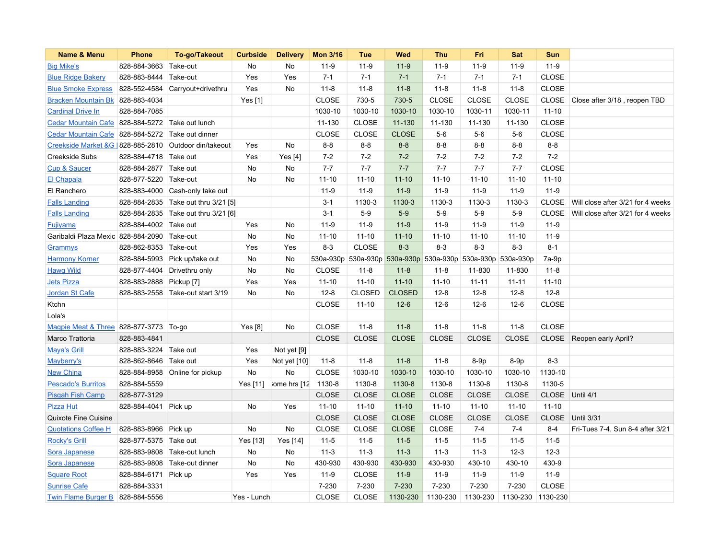| Name & Menu                                          | <b>Phone</b>                | To-go/Takeout          | <b>Curbside</b> | <b>Delivery</b>     | <b>Mon 3/16</b> | Tue           | Wed           | <b>Thu</b>                                        | Fri          | <b>Sat</b>        | <b>Sun</b>      |                                    |
|------------------------------------------------------|-----------------------------|------------------------|-----------------|---------------------|-----------------|---------------|---------------|---------------------------------------------------|--------------|-------------------|-----------------|------------------------------------|
| <b>Big Mike's</b>                                    | 828-884-3663                | Take-out               | No              | No                  | $11-9$          | $11-9$        | $11-9$        | $11-9$                                            | $11-9$       | $11-9$            | $11-9$          |                                    |
| <b>Blue Ridge Bakery</b>                             | 828-883-8444                | Take-out               | Yes             | Yes                 | $7 - 1$         | $7 - 1$       | $7 - 1$       | $7 - 1$                                           | $7 - 1$      | $7 - 1$           | <b>CLOSE</b>    |                                    |
| <b>Blue Smoke Express</b>                            | 828-552-4584                | Carryout+drivethru     | Yes             | No                  | $11 - 8$        | $11 - 8$      | $11 - 8$      | $11 - 8$                                          | $11 - 8$     | $11 - 8$          | <b>CLOSE</b>    |                                    |
| <b>Bracken Mountain Bk</b>                           | 828-883-4034                |                        | Yes [1]         |                     | <b>CLOSE</b>    | 730-5         | 730-5         | <b>CLOSE</b>                                      | <b>CLOSE</b> | <b>CLOSE</b>      |                 | CLOSE Close after 3/18, reopen TBD |
| <b>Cardinal Drive In</b>                             | 828-884-7085                |                        |                 |                     | 1030-10         | 1030-10       | 1030-10       | 1030-10                                           | 1030-11      | 1030-11           | $11 - 10$       |                                    |
| <b>Cedar Mountain Cafe</b>                           | 828-884-5272 Take out lunch |                        |                 |                     | 11-130          | <b>CLOSE</b>  | 11-130        | 11-130                                            | 11-130       | 11-130            | <b>CLOSE</b>    |                                    |
| <b>Cedar Mountain Cafe</b>                           | 828-884-5272                | Take out dinner        |                 |                     | <b>CLOSE</b>    | <b>CLOSE</b>  | <b>CLOSE</b>  | $5-6$                                             | $5-6$        | $5-6$             | <b>CLOSE</b>    |                                    |
| Creekside Market &G 828-885-2810 Outdoor din/takeout |                             |                        | Yes             | <b>No</b>           | $8 - 8$         | $8-8$         | $8 - 8$       | $8 - 8$                                           | $8 - 8$      | $8 - 8$           | $8 - 8$         |                                    |
| <b>Creekside Subs</b>                                | 828-884-4718 Take out       |                        | Yes             | Yes $[4]$           | $7 - 2$         | $7 - 2$       | $7 - 2$       | $7 - 2$                                           | $7 - 2$      | $7 - 2$           | $7 - 2$         |                                    |
| <b>Cup &amp; Saucer</b>                              | 828-884-2877 Take out       |                        | No              | No                  | $7 - 7$         | $7 - 7$       | $7 - 7$       | $7 - 7$                                           | $7 - 7$      | $7 - 7$           | <b>CLOSE</b>    |                                    |
| <b>El Chapala</b>                                    | 828-877-5220 Take-out       |                        | No              | No                  | $11 - 10$       | $11 - 10$     | $11 - 10$     | $11 - 10$                                         | $11 - 10$    | $11 - 10$         | $11 - 10$       |                                    |
| El Ranchero                                          | 828-883-4000                | Cash-only take out     |                 |                     | $11-9$          | $11-9$        | $11-9$        | $11-9$                                            | $11-9$       | $11-9$            | $11-9$          |                                    |
| <b>Falls Landing</b>                                 | 828-884-2835                | Take out thru 3/21 [5] |                 |                     | $3 - 1$         | 1130-3        | 1130-3        | 1130-3                                            | 1130-3       | 1130-3            | <b>CLOSE</b>    | Will close after 3/21 for 4 weeks  |
| <b>Falls Landing</b>                                 | 828-884-2835                | Take out thru 3/21 [6] |                 |                     | $3 - 1$         | $5-9$         | $5-9$         | $5-9$                                             | $5-9$        | $5-9$             | <b>CLOSE</b>    | Will close after 3/21 for 4 weeks  |
| Fujiyama                                             | 828-884-4002                | Take out               | Yes             | No                  | $11-9$          | $11-9$        | $11-9$        | $11-9$                                            | $11-9$       | $11-9$            | $11-9$          |                                    |
| Garibaldi Plaza Mexic 828-884-2090                   |                             | Take-out               | No              | No                  | $11 - 10$       | $11 - 10$     | $11 - 10$     | $11 - 10$                                         | $11 - 10$    | $11 - 10$         | $11-9$          |                                    |
| Grammys                                              | 828-862-8353 Take-out       |                        | Yes             | Yes                 | $8 - 3$         | <b>CLOSE</b>  | $8 - 3$       | $8 - 3$                                           | $8 - 3$      | $8 - 3$           | $8 - 1$         |                                    |
| <b>Harmony Korner</b>                                | 828-884-5993                | Pick up/take out       | No              | <b>No</b>           | 530a-930p       |               |               | 530a-930p 530a-930p 530a-930p 530a-930p 530a-930p |              |                   | $7a-9p$         |                                    |
| <b>Hawg Wild</b>                                     | 828-877-4404                | Drivethru only         | No              | No                  | <b>CLOSE</b>    | $11 - 8$      | $11 - 8$      | $11 - 8$                                          | 11-830       | 11-830            | $11 - 8$        |                                    |
| <b>Jets Pizza</b>                                    | 828-883-2888                | Pickup [7]             | Yes             | Yes                 | $11 - 10$       | $11 - 10$     | $11 - 10$     | $11 - 10$                                         | $11 - 11$    | $11 - 11$         | $11 - 10$       |                                    |
| Jordan St Cafe                                       | 828-883-2558                | Take-out start 3/19    | No              | No                  | $12 - 8$        | <b>CLOSED</b> | <b>CLOSED</b> | $12 - 8$                                          | $12 - 8$     | $12 - 8$          | $12 - 8$        |                                    |
| Ktchn                                                |                             |                        |                 |                     | CLOSE           | $11 - 10$     | $12-6$        | $12-6$                                            | $12-6$       | $12-6$            | CLOSE           |                                    |
| Lola's                                               |                             |                        |                 |                     |                 |               |               |                                                   |              |                   |                 |                                    |
| Magpie Meat & Three 828-877-3773 To-go               |                             |                        | Yes [8]         | No                  | <b>CLOSE</b>    | $11 - 8$      | $11 - 8$      | $11 - 8$                                          | $11 - 8$     | $11 - 8$          | <b>CLOSE</b>    |                                    |
| Marco Trattoria                                      | 828-883-4841                |                        |                 |                     | <b>CLOSE</b>    | <b>CLOSE</b>  | <b>CLOSE</b>  | <b>CLOSE</b>                                      | <b>CLOSE</b> | <b>CLOSE</b>      |                 | CLOSE Reopen early April?          |
| <b>Maya's Grill</b>                                  | 828-883-3224                | Take out               | Yes             | Not yet [9]         |                 |               |               |                                                   |              |                   |                 |                                    |
| Mayberry's                                           | 828-862-8646                | Take out               | Yes             | Not yet [10]        | $11 - 8$        | $11 - 8$      | $11 - 8$      | $11 - 8$                                          | $8-9p$       | $8-9p$            | $8 - 3$         |                                    |
| <b>New China</b>                                     | 828-884-8958                | Online for pickup      | <b>No</b>       | No                  | <b>CLOSE</b>    | 1030-10       | 1030-10       | 1030-10                                           | 1030-10      | 1030-10           | 1130-10         |                                    |
| <b>Pescado's Burritos</b>                            | 828-884-5559                |                        | Yes [11]        | ome hrs [12 1130-8] |                 | 1130-8        | 1130-8        | 1130-8                                            | 1130-8       | 1130-8            | 1130-5          |                                    |
| <b>Pisgah Fish Camp</b>                              | 828-877-3129                |                        |                 |                     | <b>CLOSE</b>    | <b>CLOSE</b>  | <b>CLOSE</b>  | <b>CLOSE</b>                                      | <b>CLOSE</b> | <b>CLOSE</b>      | CLOSE Until 4/1 |                                    |
| <b>Pizza Hut</b>                                     | 828-884-4041 Pick up        |                        | No              | Yes                 | $11 - 10$       | $11 - 10$     | $11 - 10$     | $11 - 10$                                         | $11 - 10$    | $11 - 10$         | $11 - 10$       |                                    |
| <b>Quixote Fine Cuisine</b>                          |                             |                        |                 |                     | <b>CLOSE</b>    | <b>CLOSE</b>  | <b>CLOSE</b>  | CLOSE                                             | <b>CLOSE</b> | <b>CLOSE</b>      |                 | CLOSE Until 3/31                   |
| <b>Quotations Coffee H</b>                           | 828-883-8966                | Pick up                | No              | No                  | <b>CLOSE</b>    | <b>CLOSE</b>  | <b>CLOSE</b>  | <b>CLOSE</b>                                      | $7 - 4$      | $7 - 4$           | 8-4             | Fri-Tues 7-4, Sun 8-4 after 3/21   |
| <b>Rocky's Grill</b>                                 | 828-877-5375                | Take out               | Yes [13]        | Yes [14]            | $11 - 5$        | $11 - 5$      | $11 - 5$      | $11-5$                                            | $11 - 5$     | $11 - 5$          | $11 - 5$        |                                    |
| Sora Japanese                                        | 828-883-9808                | Take-out lunch         | No              | No                  | $11 - 3$        | $11 - 3$      | $11-3$        | $11-3$                                            | $11 - 3$     | $12-3$            | $12-3$          |                                    |
| Sora Japanese                                        | 828-883-9808                | Take-out dinner        | No              | No                  | 430-930         | 430-930       | 430-930       | 430-930                                           | 430-10       | 430-10            | 430-9           |                                    |
| <b>Square Root</b>                                   | 828-884-6171                | Pick up                | Yes             | Yes                 | $11-9$          | <b>CLOSE</b>  | $11-9$        | $11-9$                                            | $11-9$       | $11-9$            | $11-9$          |                                    |
| <b>Sunrise Cafe</b>                                  | 828-884-3331                |                        |                 |                     | 7-230           | 7-230         | 7-230         | 7-230                                             | 7-230        | 7-230             | <b>CLOSE</b>    |                                    |
| <b>Twin Flame Burger B</b>                           | 828-884-5556                |                        | Yes - Lunch     |                     | <b>CLOSE</b>    | <b>CLOSE</b>  | 1130-230      | 1130-230                                          | 1130-230     | 1130-230 1130-230 |                 |                                    |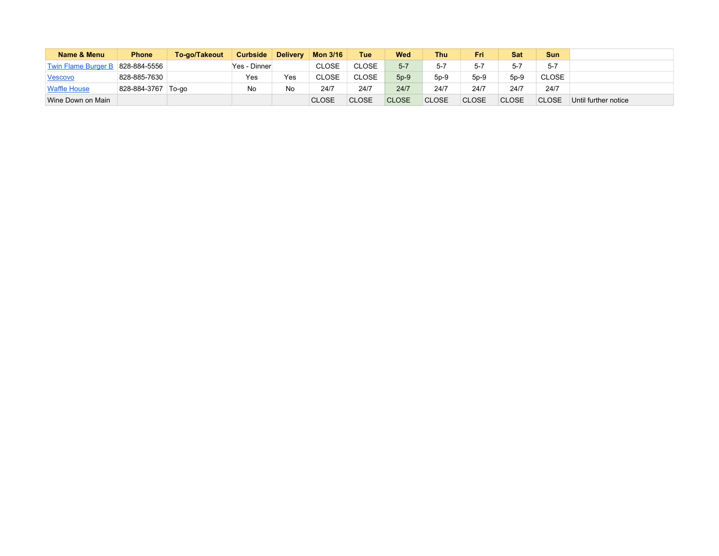| Name & Menu                | <b>Phone</b> | To-go/Takeout | <b>Curbside</b> | <b>Delivery</b> | <b>Mon 3/16</b> | Tue          | <b>Wed</b>   | Thu          | Fri          | <b>Sat</b>   | <b>Sun</b>   |                      |
|----------------------------|--------------|---------------|-----------------|-----------------|-----------------|--------------|--------------|--------------|--------------|--------------|--------------|----------------------|
| <b>Twin Flame Burger B</b> | 828-884-5556 |               | Yes - Dinner    |                 | <b>CLOSE</b>    | <b>CLOSE</b> | $5 - 7$      | $5 - 7$      | $5 - 7$      | $5 - 7$      | $5 - 7$      |                      |
| Vescovo                    | 828-885-7630 |               | Yes             | Yes             | <b>CLOSE</b>    | <b>CLOSE</b> | $5p-9$       | $5p-9$       | $5p-9$       | $5p-9$       | CLOSE        |                      |
| <b>Waffle House</b>        | 828-884-3767 | To-go         | No              | No              | 24/7            | 24/7         | 24/7         | 24/7         | 24/7         | 24/7         | 24/7         |                      |
| Wine Down on Main          |              |               |                 |                 | <b>CLOSE</b>    | <b>CLOSE</b> | <b>CLOSE</b> | <b>CLOSE</b> | <b>CLOSE</b> | <b>CLOSE</b> | <b>CLOSE</b> | Until further notice |